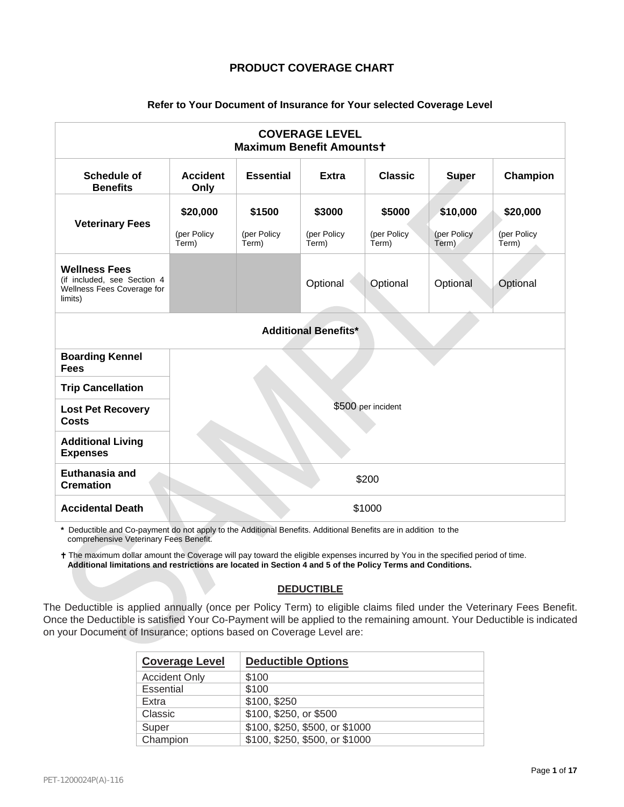## **PRODUCT COVERAGE CHART**

## **Refer to Your Document of Insurance for Your selected Coverage Level**

| <b>COVERAGE LEVEL</b><br><b>Maximum Benefit Amountst</b>                                     |                         |                      |                      |                      |                      |                      |  |  |
|----------------------------------------------------------------------------------------------|-------------------------|----------------------|----------------------|----------------------|----------------------|----------------------|--|--|
| <b>Schedule of</b><br><b>Benefits</b>                                                        | <b>Accident</b><br>Only | <b>Essential</b>     | <b>Extra</b>         | <b>Classic</b>       | <b>Super</b>         | Champion             |  |  |
| <b>Veterinary Fees</b>                                                                       | \$20,000                | \$1500               | \$3000               | \$5000               | \$10,000             | \$20,000             |  |  |
|                                                                                              | (per Policy<br>Term)    | (per Policy<br>Term) | (per Policy<br>Term) | (per Policy<br>Term) | (per Policy<br>Term) | (per Policy<br>Term) |  |  |
| <b>Wellness Fees</b><br>(if included, see Section 4<br>Wellness Fees Coverage for<br>limits) |                         |                      | Optional             | Optional             | Optional             | Optional             |  |  |
| <b>Additional Benefits*</b>                                                                  |                         |                      |                      |                      |                      |                      |  |  |
| <b>Boarding Kennel</b><br><b>Fees</b>                                                        |                         |                      |                      |                      |                      |                      |  |  |
| <b>Trip Cancellation</b>                                                                     |                         |                      |                      |                      |                      |                      |  |  |
| <b>Lost Pet Recovery</b><br><b>Costs</b>                                                     | \$500 per incident      |                      |                      |                      |                      |                      |  |  |
| <b>Additional Living</b><br><b>Expenses</b>                                                  |                         |                      |                      |                      |                      |                      |  |  |
| Euthanasia and<br><b>Cremation</b>                                                           | \$200                   |                      |                      |                      |                      |                      |  |  |
| <b>Accidental Death</b>                                                                      | \$1000                  |                      |                      |                      |                      |                      |  |  |

**\*** Deductible and Co-payment do not apply to the Additional Benefits. Additional Benefits are in addition to the comprehensive Veterinary Fees Benefit.

t The maximum dollar amount the Coverage will pay toward the eligible expenses incurred by You in the specified period of time. **Additional limitations and restrictions are located in Section 4 and 5 of the Policy Terms and Conditions.**

## **DEDUCTIBLE**

The Deductible is applied annually (once per Policy Term) to eligible claims filed under the Veterinary Fees Benefit. Once the Deductible is satisfied Your Co-Payment will be applied to the remaining amount. Your Deductible is indicated on your Document of Insurance; options based on Coverage Level are:

| <b>Coverage Level</b> | <b>Deductible Options</b>      |
|-----------------------|--------------------------------|
| <b>Accident Only</b>  | \$100                          |
| Essential             | \$100                          |
| Extra                 | \$100, \$250                   |
| Classic               | \$100, \$250, or \$500         |
| Super                 | \$100, \$250, \$500, or \$1000 |
| Champion              | \$100, \$250, \$500, or \$1000 |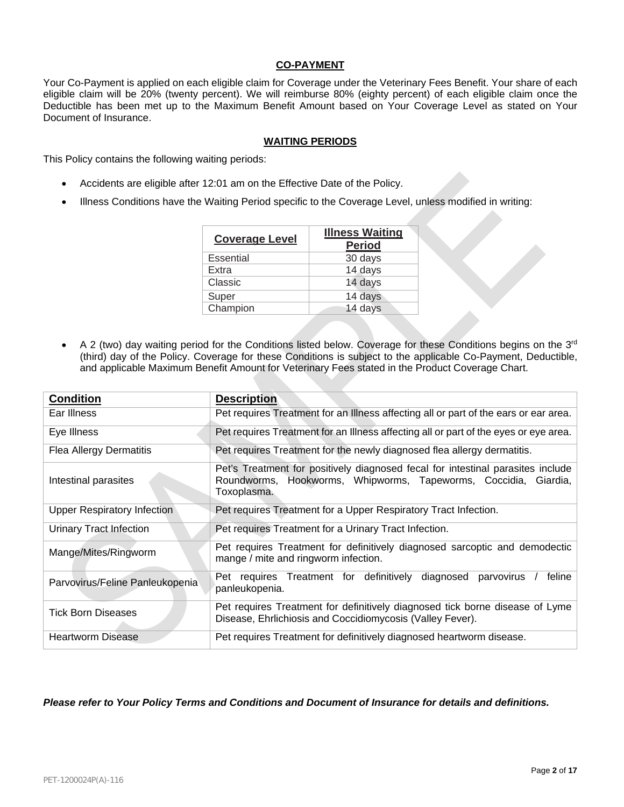## **CO-PAYMENT**

Your Co-Payment is applied on each eligible claim for Coverage under the Veterinary Fees Benefit. Your share of each eligible claim will be 20% (twenty percent). We will reimburse 80% (eighty percent) of each eligible claim once the Deductible has been met up to the Maximum Benefit Amount based on Your Coverage Level as stated on Your Document of Insurance.

## **WAITING PERIODS**

This Policy contains the following waiting periods:

- Accidents are eligible after 12:01 am on the Effective Date of the Policy.
- Illness Conditions have the Waiting Period specific to the Coverage Level, unless modified in writing:

| <b>Coverage Level</b> | <b>Illness Waiting</b><br><b>Period</b> |
|-----------------------|-----------------------------------------|
| Essential             | 30 days                                 |
| Extra                 | 14 days                                 |
| Classic               | 14 days                                 |
| Super                 | 14 days                                 |
| Champion              | 14 days                                 |

• A 2 (two) day waiting period for the Conditions listed below. Coverage for these Conditions begins on the 3<sup>rd</sup> (third) day of the Policy. Coverage for these Conditions is subject to the applicable Co-Payment, Deductible, and applicable Maximum Benefit Amount for Veterinary Fees stated in the Product Coverage Chart.

| <b>Condition</b>                   | <b>Description</b>                                                                                                                                                |
|------------------------------------|-------------------------------------------------------------------------------------------------------------------------------------------------------------------|
| Ear Illness                        | Pet requires Treatment for an Illness affecting all or part of the ears or ear area.                                                                              |
| Eye Illness                        | Pet requires Treatment for an Illness affecting all or part of the eyes or eye area.                                                                              |
| <b>Flea Allergy Dermatitis</b>     | Pet requires Treatment for the newly diagnosed flea allergy dermatitis.                                                                                           |
| Intestinal parasites               | Pet's Treatment for positively diagnosed fecal for intestinal parasites include<br>Roundworms, Hookworms, Whipworms, Tapeworms, Coccidia, Giardia,<br>Toxoplasma. |
| <b>Upper Respiratory Infection</b> | Pet requires Treatment for a Upper Respiratory Tract Infection.                                                                                                   |
| Urinary Tract Infection            | Pet requires Treatment for a Urinary Tract Infection.                                                                                                             |
| Mange/Mites/Ringworm               | Pet requires Treatment for definitively diagnosed sarcoptic and demodectic<br>mange / mite and ringworm infection.                                                |
| Parvovirus/Feline Panleukopenia    | Pet requires Treatment for definitively diagnosed<br>parvovirus<br>feline<br>panleukopenia.                                                                       |
| Tick Born Diseases                 | Pet requires Treatment for definitively diagnosed tick borne disease of Lyme<br>Disease, Ehrlichiosis and Coccidiomycosis (Valley Fever).                         |
| <b>Heartworm Disease</b>           | Pet requires Treatment for definitively diagnosed heartworm disease.                                                                                              |

*Please refer to Your Policy Terms and Conditions and Document of Insurance for details and definitions.*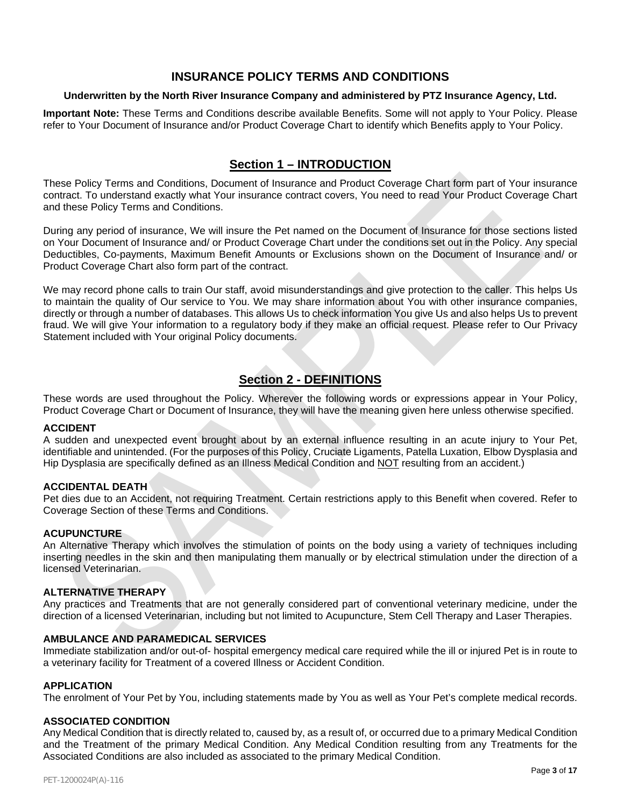# **INSURANCE POLICY TERMS AND CONDITIONS**

## **Underwritten by the North River Insurance Company and administered by PTZ Insurance Agency, Ltd.**

**Important Note:** These Terms and Conditions describe available Benefits. Some will not apply to Your Policy. Please refer to Your Document of Insurance and/or Product Coverage Chart to identify which Benefits apply to Your Policy.

# **Section 1 – INTRODUCTION**

These Policy Terms and Conditions, Document of Insurance and Product Coverage Chart form part of Your insurance contract. To understand exactly what Your insurance contract covers, You need to read Your Product Coverage Chart and these Policy Terms and Conditions.

During any period of insurance, We will insure the Pet named on the Document of Insurance for those sections listed on Your Document of Insurance and/ or Product Coverage Chart under the conditions set out in the Policy. Any special Deductibles, Co-payments, Maximum Benefit Amounts or Exclusions shown on the Document of Insurance and/ or Product Coverage Chart also form part of the contract.

We may record phone calls to train Our staff, avoid misunderstandings and give protection to the caller. This helps Us to maintain the quality of Our service to You. We may share information about You with other insurance companies, directly or through a number of databases. This allows Us to check information You give Us and also helps Us to prevent fraud. We will give Your information to a regulatory body if they make an official request. Please refer to Our Privacy Statement included with Your original Policy documents.

# **Section 2 - DEFINITIONS**

These words are used throughout the Policy. Wherever the following words or expressions appear in Your Policy, Product Coverage Chart or Document of Insurance, they will have the meaning given here unless otherwise specified.

## **ACCIDENT**

A sudden and unexpected event brought about by an external influence resulting in an acute injury to Your Pet, identifiable and unintended. (For the purposes of this Policy, Cruciate Ligaments, Patella Luxation, Elbow Dysplasia and Hip Dysplasia are specifically defined as an Illness Medical Condition and NOT resulting from an accident.)

## **ACCIDENTAL DEATH**

Pet dies due to an Accident, not requiring Treatment. Certain restrictions apply to this Benefit when covered. Refer to Coverage Section of these Terms and Conditions.

## **ACUPUNCTURE**

An Alternative Therapy which involves the stimulation of points on the body using a variety of techniques including inserting needles in the skin and then manipulating them manually or by electrical stimulation under the direction of a licensed Veterinarian.

## **ALTERNATIVE THERAPY**

Any practices and Treatments that are not generally considered part of conventional veterinary medicine, under the direction of a licensed Veterinarian, including but not limited to Acupuncture, Stem Cell Therapy and Laser Therapies.

## **AMBULANCE AND PARAMEDICAL SERVICES**

Immediate stabilization and/or out-of- hospital emergency medical care required while the ill or injured Pet is in route to a veterinary facility for Treatment of a covered Illness or Accident Condition.

#### **APPLICATION**

The enrolment of Your Pet by You, including statements made by You as well as Your Pet's complete medical records.

#### **ASSOCIATED CONDITION**

Any Medical Condition that is directly related to, caused by, as a result of, or occurred due to a primary Medical Condition and the Treatment of the primary Medical Condition. Any Medical Condition resulting from any Treatments for the Associated Conditions are also included as associated to the primary Medical Condition.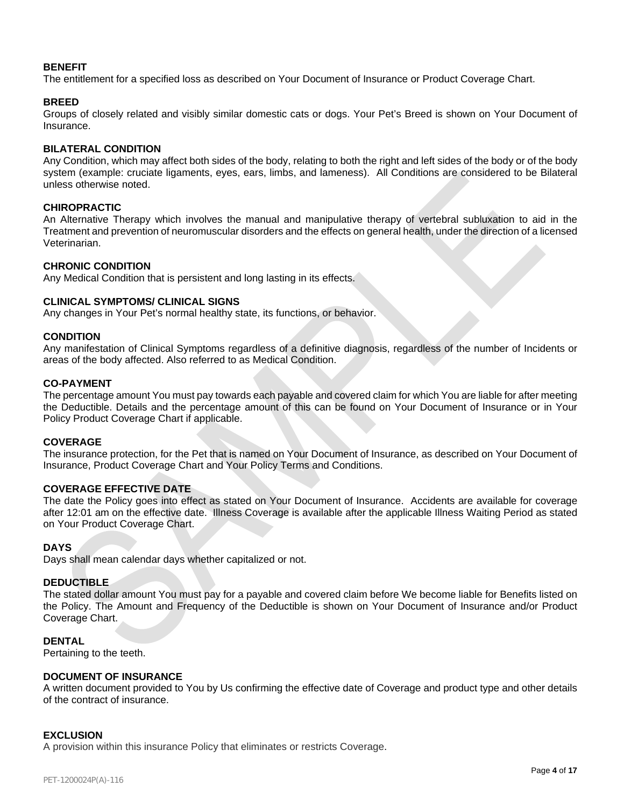## **BENEFIT**

The entitlement for a specified loss as described on Your Document of Insurance or Product Coverage Chart.

## **BREED**

Groups of closely related and visibly similar domestic cats or dogs. Your Pet's Breed is shown on Your Document of Insurance.

## **BILATERAL CONDITION**

Any Condition, which may affect both sides of the body, relating to both the right and left sides of the body or of the body system (example: cruciate ligaments, eyes, ears, limbs, and lameness). All Conditions are considered to be Bilateral unless otherwise noted.

## **CHIROPRACTIC**

An Alternative Therapy which involves the manual and manipulative therapy of vertebral subluxation to aid in the Treatment and prevention of neuromuscular disorders and the effects on general health, under the direction of a licensed Veterinarian.

## **CHRONIC CONDITION**

Any Medical Condition that is persistent and long lasting in its effects.

## **CLINICAL SYMPTOMS/ CLINICAL SIGNS**

Any changes in Your Pet's normal healthy state, its functions, or behavior.

## **CONDITION**

Any manifestation of Clinical Symptoms regardless of a definitive diagnosis, regardless of the number of Incidents or areas of the body affected. Also referred to as Medical Condition.

## **CO-PAYMENT**

The percentage amount You must pay towards each payable and covered claim for which You are liable for after meeting the Deductible. Details and the percentage amount of this can be found on Your Document of Insurance or in Your Policy Product Coverage Chart if applicable.

## **COVERAGE**

The insurance protection, for the Pet that is named on Your Document of Insurance, as described on Your Document of Insurance, Product Coverage Chart and Your Policy Terms and Conditions.

## **COVERAGE EFFECTIVE DATE**

The date the Policy goes into effect as stated on Your Document of Insurance. Accidents are available for coverage after 12:01 am on the effective date. Illness Coverage is available after the applicable Illness Waiting Period as stated on Your Product Coverage Chart.

## **DAYS**

Days shall mean calendar days whether capitalized or not.

## **DEDUCTIBLE**

The stated dollar amount You must pay for a payable and covered claim before We become liable for Benefits listed on the Policy. The Amount and Frequency of the Deductible is shown on Your Document of Insurance and/or Product Coverage Chart.

## **DENTAL**

Pertaining to the teeth.

## **DOCUMENT OF INSURANCE**

A written document provided to You by Us confirming the effective date of Coverage and product type and other details of the contract of insurance.

## **EXCLUSION**

A provision within this insurance Policy that eliminates or restricts Coverage.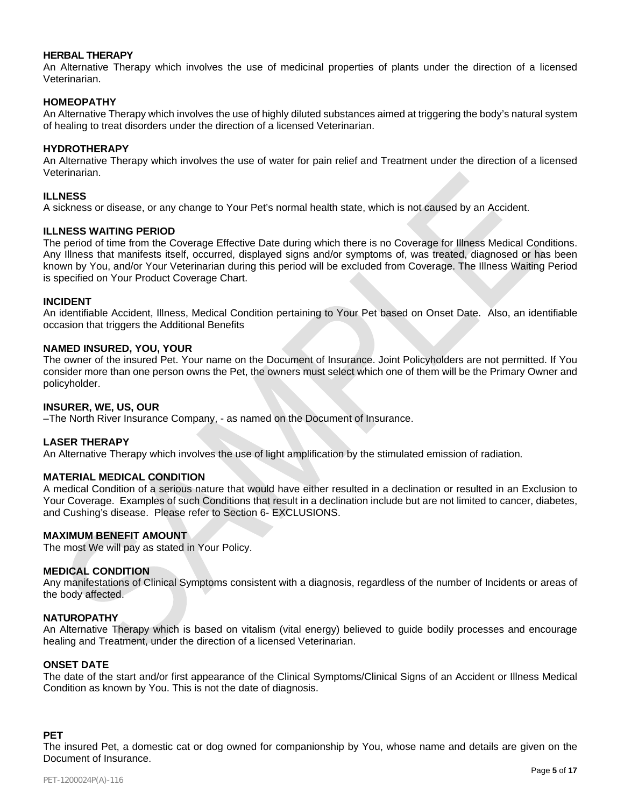## **HERBAL THERAPY**

An Alternative Therapy which involves the use of medicinal properties of plants under the direction of a licensed Veterinarian.

## **HOMEOPATHY**

An Alternative Therapy which involves the use of highly diluted substances aimed at triggering the body's natural system of healing to treat disorders under the direction of a licensed Veterinarian.

## **HYDROTHERAPY**

An Alternative Therapy which involves the use of water for pain relief and Treatment under the direction of a licensed Veterinarian.

## **ILLNESS**

A sickness or disease, or any change to Your Pet's normal health state, which is not caused by an Accident.

#### **ILLNESS WAITING PERIOD**

The period of time from the Coverage Effective Date during which there is no Coverage for Illness Medical Conditions. Any Illness that manifests itself, occurred, displayed signs and/or symptoms of, was treated, diagnosed or has been known by You, and/or Your Veterinarian during this period will be excluded from Coverage. The Illness Waiting Period is specified on Your Product Coverage Chart.

#### **INCIDENT**

An identifiable Accident, Illness, Medical Condition pertaining to Your Pet based on Onset Date. Also, an identifiable occasion that triggers the Additional Benefits

#### **NAMED INSURED, YOU, YOUR**

The owner of the insured Pet. Your name on the Document of Insurance. Joint Policyholders are not permitted. If You consider more than one person owns the Pet, the owners must select which one of them will be the Primary Owner and policyholder.

#### **INSURER, WE, US, OUR**

–The North River Insurance Company, - as named on the Document of Insurance.

## **LASER THERAPY**

An Alternative Therapy which involves the use of light amplification by the stimulated emission of radiation.

## **MATERIAL MEDICAL CONDITION**

A medical Condition of a serious nature that would have either resulted in a declination or resulted in an Exclusion to Your Coverage. Examples of such Conditions that result in a declination include but are not limited to cancer, diabetes, and Cushing's disease. Please refer to Section 6- EXCLUSIONS.

## **MAXIMUM BENEFIT AMOUNT**

The most We will pay as stated in Your Policy.

#### **MEDICAL CONDITION**

Any manifestations of Clinical Symptoms consistent with a diagnosis, regardless of the number of Incidents or areas of the body affected.

#### **NATUROPATHY**

An Alternative Therapy which is based on vitalism (vital energy) believed to guide bodily processes and encourage healing and Treatment, under the direction of a licensed Veterinarian.

#### **ONSET DATE**

The date of the start and/or first appearance of the Clinical Symptoms/Clinical Signs of an Accident or Illness Medical Condition as known by You. This is not the date of diagnosis.

#### **PET**

The insured Pet, a domestic cat or dog owned for companionship by You, whose name and details are given on the Document of Insurance.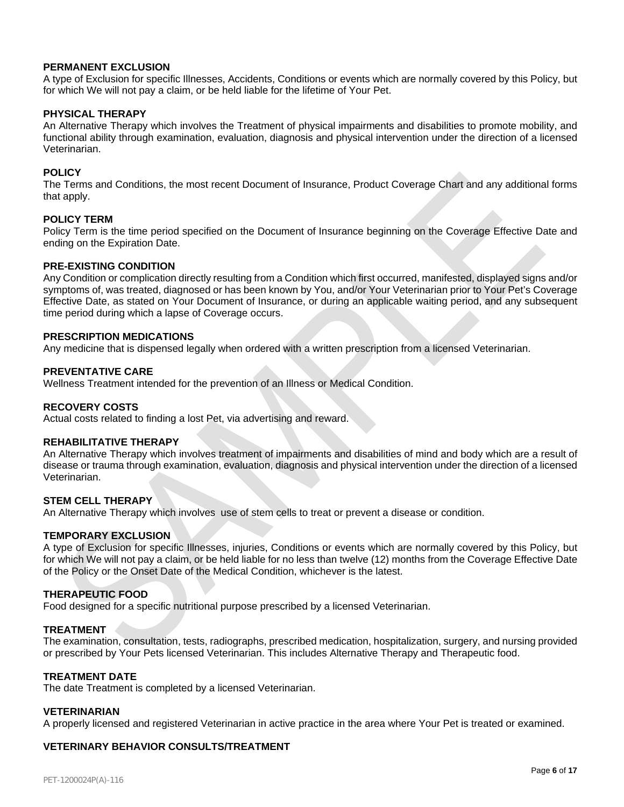## **PERMANENT EXCLUSION**

A type of Exclusion for specific Illnesses, Accidents, Conditions or events which are normally covered by this Policy, but for which We will not pay a claim, or be held liable for the lifetime of Your Pet.

#### **PHYSICAL THERAPY**

An Alternative Therapy which involves the Treatment of physical impairments and disabilities to promote mobility, and functional ability through examination, evaluation, diagnosis and physical intervention under the direction of a licensed Veterinarian.

#### **POLICY**

The Terms and Conditions, the most recent Document of Insurance, Product Coverage Chart and any additional forms that apply.

#### **POLICY TERM**

Policy Term is the time period specified on the Document of Insurance beginning on the Coverage Effective Date and ending on the Expiration Date.

#### **PRE-EXISTING CONDITION**

Any Condition or complication directly resulting from a Condition which first occurred, manifested, displayed signs and/or symptoms of, was treated, diagnosed or has been known by You, and/or Your Veterinarian prior to Your Pet's Coverage Effective Date, as stated on Your Document of Insurance, or during an applicable waiting period, and any subsequent time period during which a lapse of Coverage occurs.

#### **PRESCRIPTION MEDICATIONS**

Any medicine that is dispensed legally when ordered with a written prescription from a licensed Veterinarian.

## **PREVENTATIVE CARE**

Wellness Treatment intended for the prevention of an Illness or Medical Condition.

#### **RECOVERY COSTS**

Actual costs related to finding a lost Pet, via advertising and reward.

#### **REHABILITATIVE THERAPY**

An Alternative Therapy which involves treatment of impairments and disabilities of mind and body which are a result of disease or trauma through examination, evaluation, diagnosis and physical intervention under the direction of a licensed Veterinarian.

#### **STEM CELL THERAPY**

An Alternative Therapy which involves use of stem cells to treat or prevent a disease or condition.

#### **TEMPORARY EXCLUSION**

A type of Exclusion for specific Illnesses, injuries, Conditions or events which are normally covered by this Policy, but for which We will not pay a claim, or be held liable for no less than twelve (12) months from the Coverage Effective Date of the Policy or the Onset Date of the Medical Condition, whichever is the latest.

#### **THERAPEUTIC FOOD**

Food designed for a specific nutritional purpose prescribed by a licensed Veterinarian.

#### **TREATMENT**

The examination, consultation, tests, radiographs, prescribed medication, hospitalization, surgery, and nursing provided or prescribed by Your Pets licensed Veterinarian. This includes Alternative Therapy and Therapeutic food.

## **TREATMENT DATE**

The date Treatment is completed by a licensed Veterinarian.

#### **VETERINARIAN**

A properly licensed and registered Veterinarian in active practice in the area where Your Pet is treated or examined.

#### **VETERINARY BEHAVIOR CONSULTS/TREATMENT**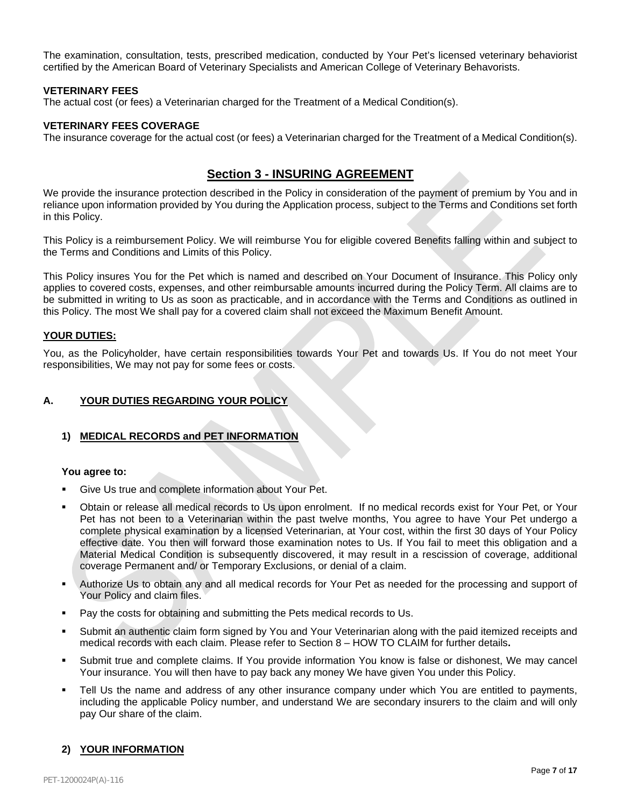The examination, consultation, tests, prescribed medication, conducted by Your Pet's licensed veterinary behaviorist certified by the American Board of Veterinary Specialists and American College of Veterinary Behavorists.

## **VETERINARY FEES**

The actual cost (or fees) a Veterinarian charged for the Treatment of a Medical Condition(s).

## **VETERINARY FEES COVERAGE**

The insurance coverage for the actual cost (or fees) a Veterinarian charged for the Treatment of a Medical Condition(s).

# **Section 3 - INSURING AGREEMENT**

We provide the insurance protection described in the Policy in consideration of the payment of premium by You and in reliance upon information provided by You during the Application process, subject to the Terms and Conditions set forth in this Policy.

This Policy is a reimbursement Policy. We will reimburse You for eligible covered Benefits falling within and subject to the Terms and Conditions and Limits of this Policy.

This Policy insures You for the Pet which is named and described on Your Document of Insurance. This Policy only applies to covered costs, expenses, and other reimbursable amounts incurred during the Policy Term. All claims are to be submitted in writing to Us as soon as practicable, and in accordance with the Terms and Conditions as outlined in this Policy. The most We shall pay for a covered claim shall not exceed the Maximum Benefit Amount.

## **YOUR DUTIES:**

You, as the Policyholder, have certain responsibilities towards Your Pet and towards Us. If You do not meet Your responsibilities, We may not pay for some fees or costs.

## **A. YOUR DUTIES REGARDING YOUR POLICY**

## **1) MEDICAL RECORDS and PET INFORMATION**

## **You agree to:**

- Give Us true and complete information about Your Pet.
- Obtain or release all medical records to Us upon enrolment. If no medical records exist for Your Pet, or Your Pet has not been to a Veterinarian within the past twelve months, You agree to have Your Pet undergo a complete physical examination by a licensed Veterinarian, at Your cost, within the first 30 days of Your Policy effective date. You then will forward those examination notes to Us. If You fail to meet this obligation and a Material Medical Condition is subsequently discovered, it may result in a rescission of coverage, additional coverage Permanent and/ or Temporary Exclusions, or denial of a claim.
- Authorize Us to obtain any and all medical records for Your Pet as needed for the processing and support of Your Policy and claim files.
- Pay the costs for obtaining and submitting the Pets medical records to Us.
- Submit an authentic claim form signed by You and Your Veterinarian along with the paid itemized receipts and medical records with each claim. Please refer to Section 8 – HOW TO CLAIM for further details**.**
- Submit true and complete claims. If You provide information You know is false or dishonest, We may cancel Your insurance. You will then have to pay back any money We have given You under this Policy.
- Tell Us the name and address of any other insurance company under which You are entitled to payments, including the applicable Policy number, and understand We are secondary insurers to the claim and will only pay Our share of the claim.

## **2) YOUR INFORMATION**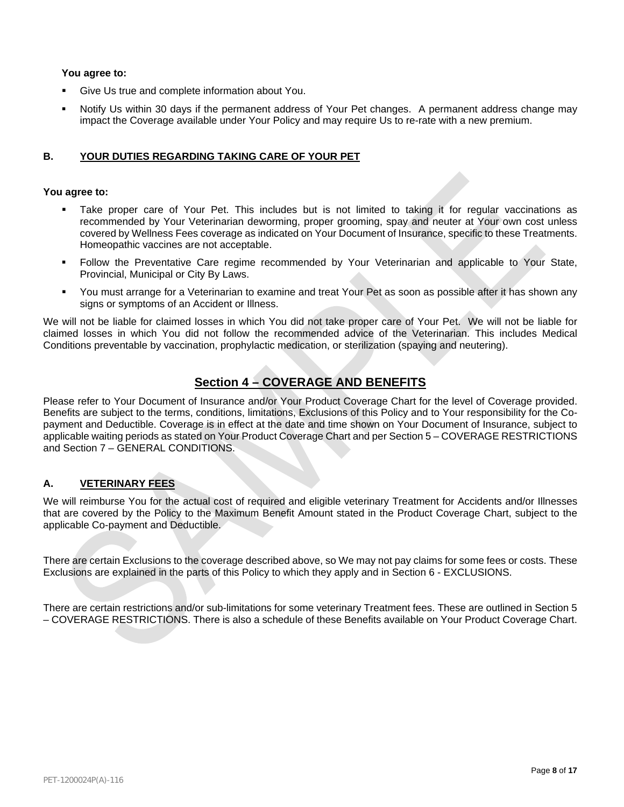## **You agree to:**

- Give Us true and complete information about You.
- Notify Us within 30 days if the permanent address of Your Pet changes. A permanent address change may impact the Coverage available under Your Policy and may require Us to re-rate with a new premium.

## **B. YOUR DUTIES REGARDING TAKING CARE OF YOUR PET**

## **You agree to:**

- Take proper care of Your Pet. This includes but is not limited to taking it for regular vaccinations as recommended by Your Veterinarian deworming, proper grooming, spay and neuter at Your own cost unless covered by Wellness Fees coverage as indicated on Your Document of Insurance, specific to these Treatments. Homeopathic vaccines are not acceptable.
- Follow the Preventative Care regime recommended by Your Veterinarian and applicable to Your State, Provincial, Municipal or City By Laws.
- You must arrange for a Veterinarian to examine and treat Your Pet as soon as possible after it has shown any signs or symptoms of an Accident or Illness.

We will not be liable for claimed losses in which You did not take proper care of Your Pet. We will not be liable for claimed losses in which You did not follow the recommended advice of the Veterinarian. This includes Medical Conditions preventable by vaccination, prophylactic medication, or sterilization (spaying and neutering).

# **Section 4 – COVERAGE AND BENEFITS**

Please refer to Your Document of Insurance and/or Your Product Coverage Chart for the level of Coverage provided. Benefits are subject to the terms, conditions, limitations, Exclusions of this Policy and to Your responsibility for the Copayment and Deductible. Coverage is in effect at the date and time shown on Your Document of Insurance, subject to applicable waiting periods as stated on Your Product Coverage Chart and per Section 5 – COVERAGE RESTRICTIONS and Section 7 – GENERAL CONDITIONS.

## **A. VETERINARY FEES**

We will reimburse You for the actual cost of required and eligible veterinary Treatment for Accidents and/or Illnesses that are covered by the Policy to the Maximum Benefit Amount stated in the Product Coverage Chart, subject to the applicable Co-payment and Deductible.

There are certain Exclusions to the coverage described above, so We may not pay claims for some fees or costs. These Exclusions are explained in the parts of this Policy to which they apply and in Section 6 - EXCLUSIONS.

There are certain restrictions and/or sub-limitations for some veterinary Treatment fees. These are outlined in Section 5 – COVERAGE RESTRICTIONS. There is also a schedule of these Benefits available on Your Product Coverage Chart.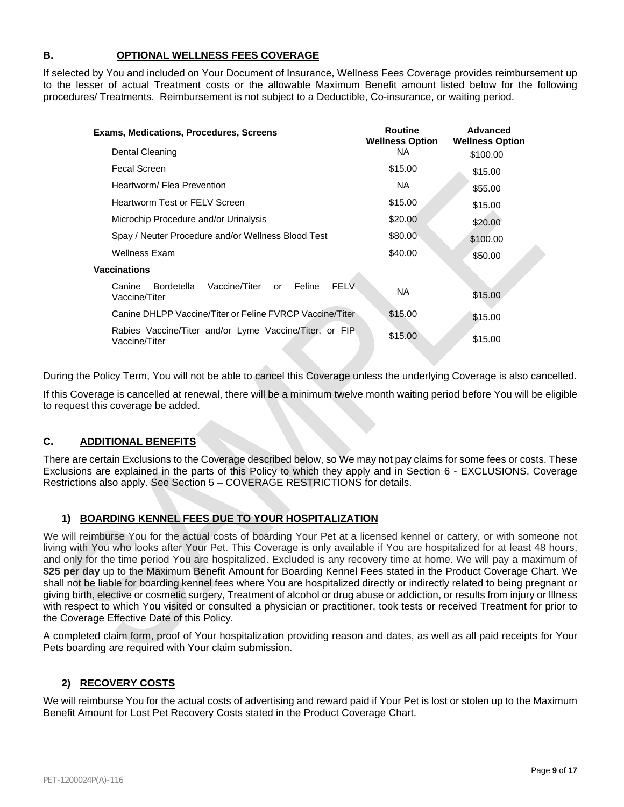## **B. OPTIONAL WELLNESS FEES COVERAGE**

If selected by You and included on Your Document of Insurance, Wellness Fees Coverage provides reimbursement up to the lesser of actual Treatment costs or the allowable Maximum Benefit amount listed below for the following procedures/ Treatments. Reimbursement is not subject to a Deductible, Co-insurance, or waiting period.

| Exams, Medications, Procedures, Screens                                               | <b>Routine</b><br><b>Wellness Option</b> | <b>Advanced</b><br><b>Wellness Option</b> |
|---------------------------------------------------------------------------------------|------------------------------------------|-------------------------------------------|
| Dental Cleaning                                                                       | NA.                                      | \$100.00                                  |
| <b>Fecal Screen</b>                                                                   | \$15.00                                  | \$15.00                                   |
| Heartworm/ Flea Prevention                                                            | NA.                                      | \$55.00                                   |
| <b>Heartworm Test or FELV Screen</b>                                                  | \$15.00                                  | \$15.00                                   |
| Microchip Procedure and/or Urinalysis                                                 | \$20.00                                  | \$20.00                                   |
| Spay / Neuter Procedure and/or Wellness Blood Test                                    | \$80.00                                  | \$100.00                                  |
| <b>Wellness Exam</b>                                                                  | \$40.00                                  | \$50.00                                   |
| Vaccinations                                                                          |                                          |                                           |
| Vaccine/Titer<br><b>FELV</b><br>Feline<br>Canine<br>Bordetella<br>or<br>Vaccine/Titer | <b>NA</b>                                | \$15.00                                   |
| Canine DHLPP Vaccine/Titer or Feline FVRCP Vaccine/Titer                              | \$15.00                                  | \$15.00                                   |
| Rabies Vaccine/Titer and/or Lyme Vaccine/Titer, or FIP<br>Vaccine/Titer               | \$15.00                                  | \$15.00                                   |

During the Policy Term, You will not be able to cancel this Coverage unless the underlying Coverage is also cancelled.

If this Coverage is cancelled at renewal, there will be a minimum twelve month waiting period before You will be eligible to request this coverage be added.

## **C. ADDITIONAL BENEFITS**

There are certain Exclusions to the Coverage described below, so We may not pay claims for some fees or costs. These Exclusions are explained in the parts of this Policy to which they apply and in Section 6 - EXCLUSIONS. Coverage Restrictions also apply. See Section 5 – COVERAGE RESTRICTIONS for details.

## **1) BOARDING KENNEL FEES DUE TO YOUR HOSPITALIZATION**

We will reimburse You for the actual costs of boarding Your Pet at a licensed kennel or cattery, or with someone not living with You who looks after Your Pet. This Coverage is only available if You are hospitalized for at least 48 hours, and only for the time period You are hospitalized. Excluded is any recovery time at home. We will pay a maximum of **\$25 per day** up to the Maximum Benefit Amount for Boarding Kennel Fees stated in the Product Coverage Chart. We shall not be liable for boarding kennel fees where You are hospitalized directly or indirectly related to being pregnant or giving birth, elective or cosmetic surgery, Treatment of alcohol or drug abuse or addiction, or results from injury or Illness with respect to which You visited or consulted a physician or practitioner, took tests or received Treatment for prior to the Coverage Effective Date of this Policy.

A completed claim form, proof of Your hospitalization providing reason and dates, as well as all paid receipts for Your Pets boarding are required with Your claim submission.

## **2) RECOVERY COSTS**

We will reimburse You for the actual costs of advertising and reward paid if Your Pet is lost or stolen up to the Maximum Benefit Amount for Lost Pet Recovery Costs stated in the Product Coverage Chart.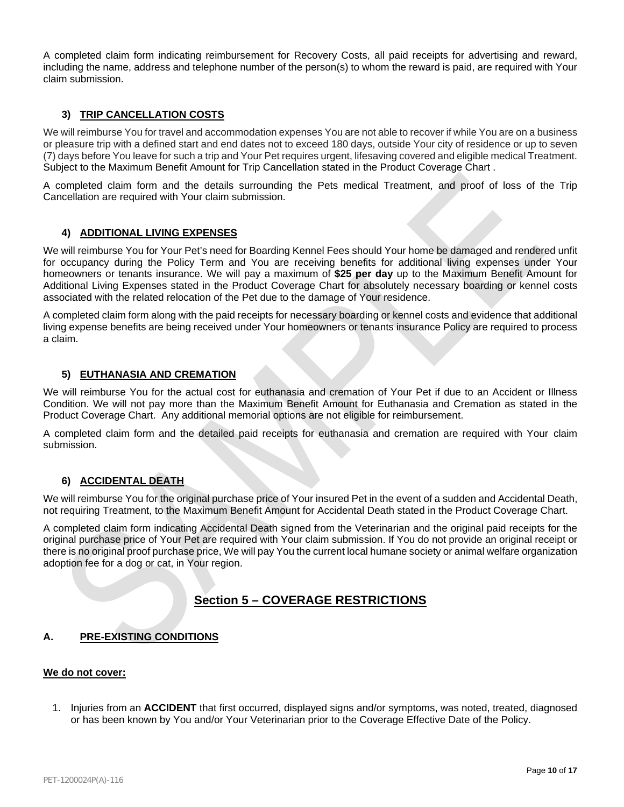A completed claim form indicating reimbursement for Recovery Costs, all paid receipts for advertising and reward, including the name, address and telephone number of the person(s) to whom the reward is paid, are required with Your claim submission.

## **3) TRIP CANCELLATION COSTS**

We will reimburse You for travel and accommodation expenses You are not able to recover if while You are on a business or pleasure trip with a defined start and end dates not to exceed 180 days, outside Your city of residence or up to seven (7) days before You leave for such a trip and Your Pet requires urgent, lifesaving covered and eligible medical Treatment. Subject to the Maximum Benefit Amount for Trip Cancellation stated in the Product Coverage Chart .

A completed claim form and the details surrounding the Pets medical Treatment, and proof of loss of the Trip Cancellation are required with Your claim submission.

## **4) ADDITIONAL LIVING EXPENSES**

We will reimburse You for Your Pet's need for Boarding Kennel Fees should Your home be damaged and rendered unfit for occupancy during the Policy Term and You are receiving benefits for additional living expenses under Your homeowners or tenants insurance. We will pay a maximum of **\$25 per day** up to the Maximum Benefit Amount for Additional Living Expenses stated in the Product Coverage Chart for absolutely necessary boarding or kennel costs associated with the related relocation of the Pet due to the damage of Your residence.

A completed claim form along with the paid receipts for necessary boarding or kennel costs and evidence that additional living expense benefits are being received under Your homeowners or tenants insurance Policy are required to process a claim.

## **5) EUTHANASIA AND CREMATION**

We will reimburse You for the actual cost for euthanasia and cremation of Your Pet if due to an Accident or Illness Condition. We will not pay more than the Maximum Benefit Amount for Euthanasia and Cremation as stated in the Product Coverage Chart. Any additional memorial options are not eligible for reimbursement.

A completed claim form and the detailed paid receipts for euthanasia and cremation are required with Your claim submission.

## **6) ACCIDENTAL DEATH**

We will reimburse You for the original purchase price of Your insured Pet in the event of a sudden and Accidental Death, not requiring Treatment, to the Maximum Benefit Amount for Accidental Death stated in the Product Coverage Chart.

A completed claim form indicating Accidental Death signed from the Veterinarian and the original paid receipts for the original purchase price of Your Pet are required with Your claim submission. If You do not provide an original receipt or there is no original proof purchase price, We will pay You the current local humane society or animal welfare organization adoption fee for a dog or cat, in Your region.

## **Section 5 – COVERAGE RESTRICTIONS**

## **A. PRE-EXISTING CONDITIONS**

## **We do not cover:**

1. Injuries from an **ACCIDENT** that first occurred, displayed signs and/or symptoms, was noted, treated, diagnosed or has been known by You and/or Your Veterinarian prior to the Coverage Effective Date of the Policy.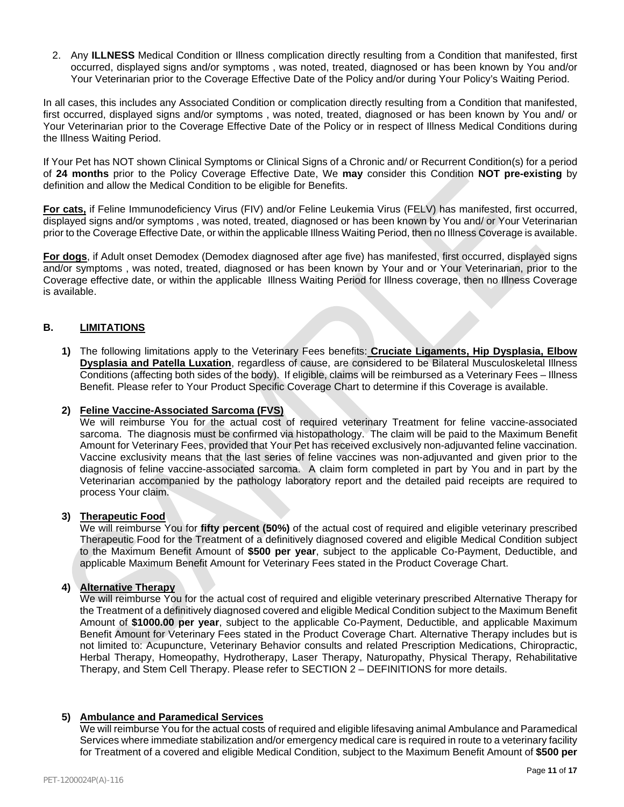2. Any **ILLNESS** Medical Condition or Illness complication directly resulting from a Condition that manifested, first occurred, displayed signs and/or symptoms , was noted, treated, diagnosed or has been known by You and/or Your Veterinarian prior to the Coverage Effective Date of the Policy and/or during Your Policy's Waiting Period.

In all cases, this includes any Associated Condition or complication directly resulting from a Condition that manifested, first occurred, displayed signs and/or symptoms , was noted, treated, diagnosed or has been known by You and/ or Your Veterinarian prior to the Coverage Effective Date of the Policy or in respect of Illness Medical Conditions during the Illness Waiting Period.

If Your Pet has NOT shown Clinical Symptoms or Clinical Signs of a Chronic and/ or Recurrent Condition(s) for a period of **24 months** prior to the Policy Coverage Effective Date, We **may** consider this Condition **NOT pre-existing** by definition and allow the Medical Condition to be eligible for Benefits.

**For cats,** if Feline Immunodeficiency Virus (FIV) and/or Feline Leukemia Virus (FELV) has manifested, first occurred, displayed signs and/or symptoms , was noted, treated, diagnosed or has been known by You and/ or Your Veterinarian prior to the Coverage Effective Date, or within the applicable Illness Waiting Period, then no Illness Coverage is available.

**For dogs**, if Adult onset Demodex (Demodex diagnosed after age five) has manifested, first occurred, displayed signs and/or symptoms , was noted, treated, diagnosed or has been known by Your and or Your Veterinarian, prior to the Coverage effective date, or within the applicable Illness Waiting Period for Illness coverage, then no Illness Coverage is available.

## **B. LIMITATIONS**

**1)** The following limitations apply to the Veterinary Fees benefits: **Cruciate Ligaments, Hip Dysplasia, Elbow Dysplasia and Patella Luxation**, regardless of cause, are considered to be Bilateral Musculoskeletal Illness Conditions (affecting both sides of the body). If eligible, claims will be reimbursed as a Veterinary Fees – Illness Benefit. Please refer to Your Product Specific Coverage Chart to determine if this Coverage is available.

## **2) Feline Vaccine-Associated Sarcoma (FVS)**

We will reimburse You for the actual cost of required veterinary Treatment for feline vaccine-associated sarcoma. The diagnosis must be confirmed via histopathology. The claim will be paid to the Maximum Benefit Amount for Veterinary Fees, provided that Your Pet has received exclusively non-adjuvanted feline vaccination. Vaccine exclusivity means that the last series of feline vaccines was non-adjuvanted and given prior to the diagnosis of feline vaccine-associated sarcoma. A claim form completed in part by You and in part by the Veterinarian accompanied by the pathology laboratory report and the detailed paid receipts are required to process Your claim.

#### **3) Therapeutic Food**

We will reimburse You for **fifty percent (50%)** of the actual cost of required and eligible veterinary prescribed Therapeutic Food for the Treatment of a definitively diagnosed covered and eligible Medical Condition subject to the Maximum Benefit Amount of **\$500 per year**, subject to the applicable Co-Payment, Deductible, and applicable Maximum Benefit Amount for Veterinary Fees stated in the Product Coverage Chart.

## **4) Alternative Therapy**

We will reimburse You for the actual cost of required and eligible veterinary prescribed Alternative Therapy for the Treatment of a definitively diagnosed covered and eligible Medical Condition subject to the Maximum Benefit Amount of **\$1000.00 per year**, subject to the applicable Co-Payment, Deductible, and applicable Maximum Benefit Amount for Veterinary Fees stated in the Product Coverage Chart. Alternative Therapy includes but is not limited to: Acupuncture, Veterinary Behavior consults and related Prescription Medications, Chiropractic, Herbal Therapy, Homeopathy, Hydrotherapy, Laser Therapy, Naturopathy, Physical Therapy, Rehabilitative Therapy, and Stem Cell Therapy. Please refer to SECTION 2 – DEFINITIONS for more details.

## **5) Ambulance and Paramedical Services**

We will reimburse You for the actual costs of required and eligible lifesaving animal Ambulance and Paramedical Services where immediate stabilization and/or emergency medical care is required in route to a veterinary facility for Treatment of a covered and eligible Medical Condition, subject to the Maximum Benefit Amount of **\$500 per**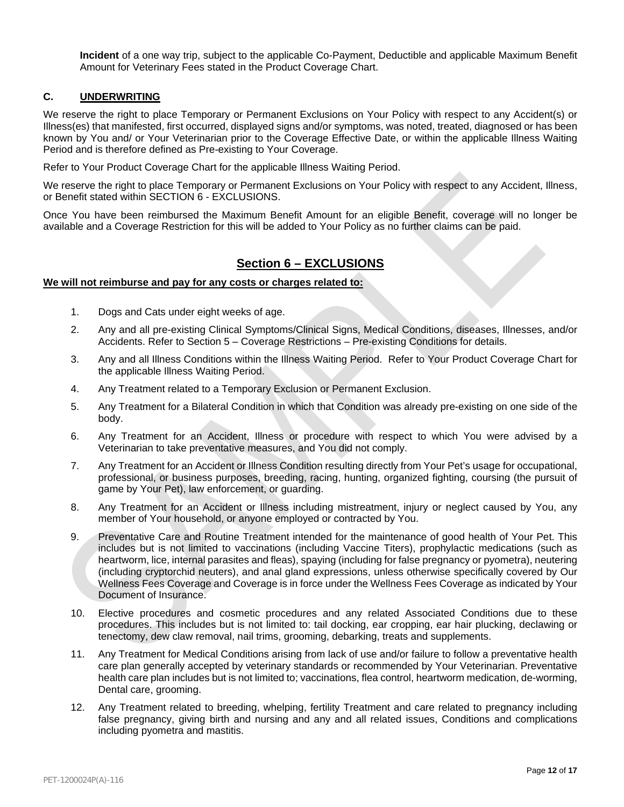**Incident** of a one way trip, subject to the applicable Co-Payment, Deductible and applicable Maximum Benefit Amount for Veterinary Fees stated in the Product Coverage Chart.

## **C. UNDERWRITING**

We reserve the right to place Temporary or Permanent Exclusions on Your Policy with respect to any Accident(s) or Illness(es) that manifested, first occurred, displayed signs and/or symptoms, was noted, treated, diagnosed or has been known by You and/ or Your Veterinarian prior to the Coverage Effective Date, or within the applicable Illness Waiting Period and is therefore defined as Pre-existing to Your Coverage.

Refer to Your Product Coverage Chart for the applicable Illness Waiting Period.

We reserve the right to place Temporary or Permanent Exclusions on Your Policy with respect to any Accident, Illness, or Benefit stated within SECTION 6 - EXCLUSIONS.

Once You have been reimbursed the Maximum Benefit Amount for an eligible Benefit, coverage will no longer be available and a Coverage Restriction for this will be added to Your Policy as no further claims can be paid.

# **Section 6 – EXCLUSIONS**

#### **We will not reimburse and pay for any costs or charges related to:**

- 1. Dogs and Cats under eight weeks of age.
- 2. Any and all pre-existing Clinical Symptoms/Clinical Signs, Medical Conditions, diseases, Illnesses, and/or Accidents. Refer to Section 5 – Coverage Restrictions – Pre-existing Conditions for details.
- 3. Any and all Illness Conditions within the Illness Waiting Period. Refer to Your Product Coverage Chart for the applicable Illness Waiting Period.
- 4. Any Treatment related to a Temporary Exclusion or Permanent Exclusion.
- 5. Any Treatment for a Bilateral Condition in which that Condition was already pre-existing on one side of the body.
- 6. Any Treatment for an Accident, Illness or procedure with respect to which You were advised by a Veterinarian to take preventative measures, and You did not comply.
- 7. Any Treatment for an Accident or Illness Condition resulting directly from Your Pet's usage for occupational, professional, or business purposes, breeding, racing, hunting, organized fighting, coursing (the pursuit of game by Your Pet), law enforcement, or guarding.
- 8. Any Treatment for an Accident or Illness including mistreatment, injury or neglect caused by You, any member of Your household, or anyone employed or contracted by You.
- 9. Preventative Care and Routine Treatment intended for the maintenance of good health of Your Pet. This includes but is not limited to vaccinations (including Vaccine Titers), prophylactic medications (such as heartworm, lice, internal parasites and fleas), spaying (including for false pregnancy or pyometra), neutering (including cryptorchid neuters), and anal gland expressions, unless otherwise specifically covered by Our Wellness Fees Coverage and Coverage is in force under the Wellness Fees Coverage as indicated by Your Document of Insurance.
- 10. Elective procedures and cosmetic procedures and any related Associated Conditions due to these procedures. This includes but is not limited to: tail docking, ear cropping, ear hair plucking, declawing or tenectomy, dew claw removal, nail trims, grooming, debarking, treats and supplements.
- 11. Any Treatment for Medical Conditions arising from lack of use and/or failure to follow a preventative health care plan generally accepted by veterinary standards or recommended by Your Veterinarian. Preventative health care plan includes but is not limited to; vaccinations, flea control, heartworm medication, de-worming, Dental care, grooming.
- 12. Any Treatment related to breeding, whelping, fertility Treatment and care related to pregnancy including false pregnancy, giving birth and nursing and any and all related issues, Conditions and complications including pyometra and mastitis.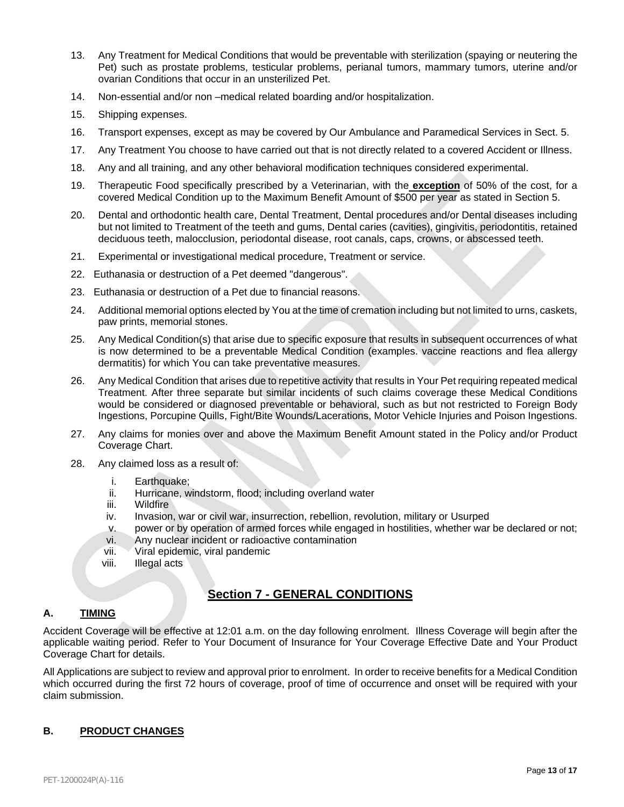- 13. Any Treatment for Medical Conditions that would be preventable with sterilization (spaying or neutering the Pet) such as prostate problems, testicular problems, perianal tumors, mammary tumors, uterine and/or ovarian Conditions that occur in an unsterilized Pet.
- 14. Non-essential and/or non –medical related boarding and/or hospitalization.
- 15. Shipping expenses.
- 16. Transport expenses, except as may be covered by Our Ambulance and Paramedical Services in Sect. 5.
- 17. Any Treatment You choose to have carried out that is not directly related to a covered Accident or Illness.
- 18. Any and all training, and any other behavioral modification techniques considered experimental.
- 19. Therapeutic Food specifically prescribed by a Veterinarian, with the **exception** of 50% of the cost, for a covered Medical Condition up to the Maximum Benefit Amount of \$500 per year as stated in Section 5.
- 20. Dental and orthodontic health care, Dental Treatment, Dental procedures and/or Dental diseases including but not limited to Treatment of the teeth and gums, Dental caries (cavities), gingivitis, periodontitis, retained deciduous teeth, malocclusion, periodontal disease, root canals, caps, crowns, or abscessed teeth.
- 21. Experimental or investigational medical procedure, Treatment or service.
- 22. Euthanasia or destruction of a Pet deemed "dangerous".
- 23. Euthanasia or destruction of a Pet due to financial reasons.
- 24. Additional memorial options elected by You at the time of cremation including but not limited to urns, caskets, paw prints, memorial stones.
- 25. Any Medical Condition(s) that arise due to specific exposure that results in subsequent occurrences of what is now determined to be a preventable Medical Condition (examples. vaccine reactions and flea allergy dermatitis) for which You can take preventative measures.
- 26. Any Medical Condition that arises due to repetitive activity that results in Your Pet requiring repeated medical Treatment. After three separate but similar incidents of such claims coverage these Medical Conditions would be considered or diagnosed preventable or behavioral, such as but not restricted to Foreign Body Ingestions, Porcupine Quills, Fight/Bite Wounds/Lacerations, Motor Vehicle Injuries and Poison Ingestions.
- 27. Any claims for monies over and above the Maximum Benefit Amount stated in the Policy and/or Product Coverage Chart.
- 28. Any claimed loss as a result of:
	- i. Earthquake:
	- ii. Hurricane, windstorm, flood; including overland water
	- iii. Wildfire
	- iv. Invasion, war or civil war, insurrection, rebellion, revolution, military or Usurped
	- v. power or by operation of armed forces while engaged in hostilities, whether war be declared or not;
	- vi. Any nuclear incident or radioactive contamination
	- vii. Viral epidemic, viral pandemic
	- viii. Illegal acts

# **Section 7 - GENERAL CONDITIONS**

## **A. TIMING**

Accident Coverage will be effective at 12:01 a.m. on the day following enrolment. Illness Coverage will begin after the applicable waiting period. Refer to Your Document of Insurance for Your Coverage Effective Date and Your Product Coverage Chart for details.

All Applications are subject to review and approval prior to enrolment. In order to receive benefits for a Medical Condition which occurred during the first 72 hours of coverage, proof of time of occurrence and onset will be required with your claim submission.

## **B. PRODUCT CHANGES**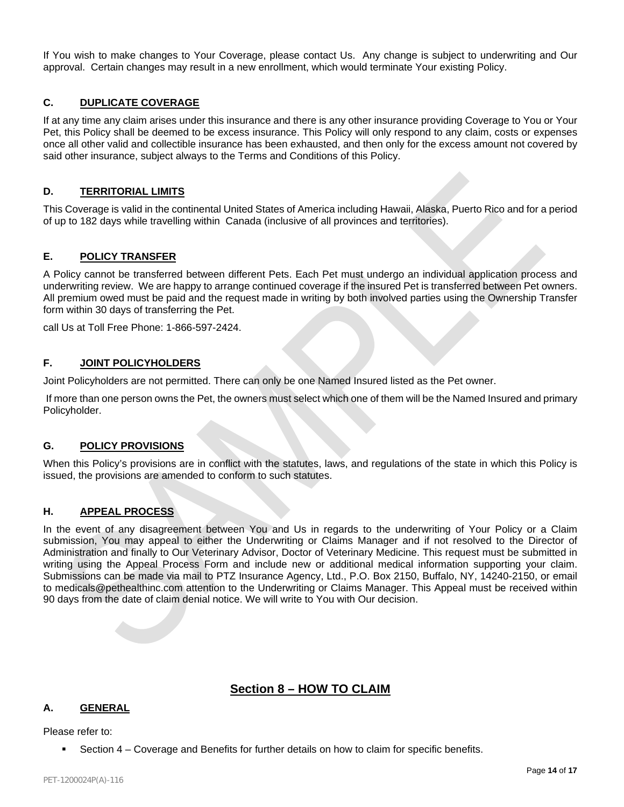If You wish to make changes to Your Coverage, please contact Us. Any change is subject to underwriting and Our approval. Certain changes may result in a new enrollment, which would terminate Your existing Policy.

## **C. DUPLICATE COVERAGE**

If at any time any claim arises under this insurance and there is any other insurance providing Coverage to You or Your Pet, this Policy shall be deemed to be excess insurance. This Policy will only respond to any claim, costs or expenses once all other valid and collectible insurance has been exhausted, and then only for the excess amount not covered by said other insurance, subject always to the Terms and Conditions of this Policy.

## **D. TERRITORIAL LIMITS**

This Coverage is valid in the continental United States of America including Hawaii, Alaska, Puerto Rico and for a period of up to 182 days while travelling within Canada (inclusive of all provinces and territories).

## **E. POLICY TRANSFER**

A Policy cannot be transferred between different Pets. Each Pet must undergo an individual application process and underwriting review. We are happy to arrange continued coverage if the insured Pet is transferred between Pet owners. All premium owed must be paid and the request made in writing by both involved parties using the Ownership Transfer form within 30 days of transferring the Pet.

call Us at Toll Free Phone: 1-866-597-2424.

## **F. JOINT POLICYHOLDERS**

Joint Policyholders are not permitted. There can only be one Named Insured listed as the Pet owner.

If more than one person owns the Pet, the owners must select which one of them will be the Named Insured and primary Policyholder.

## **G. POLICY PROVISIONS**

When this Policy's provisions are in conflict with the statutes, laws, and regulations of the state in which this Policy is issued, the provisions are amended to conform to such statutes.

## **H. APPEAL PROCESS**

In the event of any disagreement between You and Us in regards to the underwriting of Your Policy or a Claim submission, You may appeal to either the Underwriting or Claims Manager and if not resolved to the Director of Administration and finally to Our Veterinary Advisor, Doctor of Veterinary Medicine. This request must be submitted in writing using the Appeal Process Form and include new or additional medical information supporting your claim. Submissions can be made via mail to PTZ Insurance Agency, Ltd., P.O. Box 2150, Buffalo, NY, 14240-2150, or email to medicals@pethealthinc.com attention to the Underwriting or Claims Manager. This Appeal must be received within 90 days from the date of claim denial notice. We will write to You with Our decision.

## **Section 8 – HOW TO CLAIM**

## **A. GENERAL**

Please refer to:

Section 4 – Coverage and Benefits for further details on how to claim for specific benefits.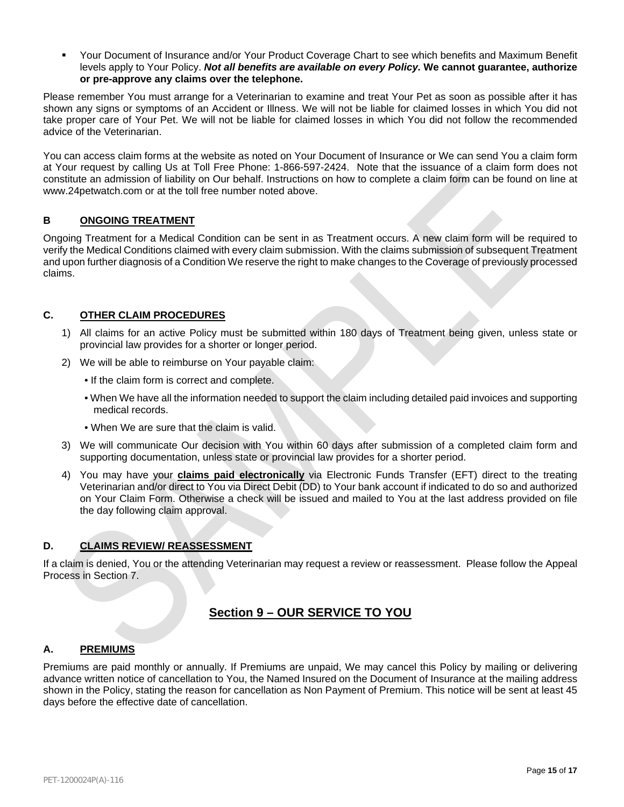Your Document of Insurance and/or Your Product Coverage Chart to see which benefits and Maximum Benefit levels apply to Your Policy. *Not all benefits are available on every Policy.* **We cannot guarantee, authorize or pre-approve any claims over the telephone.**

Please remember You must arrange for a Veterinarian to examine and treat Your Pet as soon as possible after it has shown any signs or symptoms of an Accident or Illness. We will not be liable for claimed losses in which You did not take proper care of Your Pet. We will not be liable for claimed losses in which You did not follow the recommended advice of the Veterinarian.

You can access claim forms at the website as noted on Your Document of Insurance or We can send You a claim form at Your request by calling Us at Toll Free Phone: 1-866-597-2424. Note that the issuance of a claim form does not constitute an admission of liability on Our behalf. Instructions on how to complete a claim form can be found on line at www.24petwatch.com or at the toll free number noted above.

## **B ONGOING TREATMENT**

Ongoing Treatment for a Medical Condition can be sent in as Treatment occurs. A new claim form will be required to verify the Medical Conditions claimed with every claim submission. With the claims submission of subsequent Treatment and upon further diagnosis of a Condition We reserve the right to make changes to the Coverage of previously processed claims.

## **C. OTHER CLAIM PROCEDURES**

- 1) All claims for an active Policy must be submitted within 180 days of Treatment being given, unless state or provincial law provides for a shorter or longer period.
- 2) We will be able to reimburse on Your payable claim:
	- If the claim form is correct and complete.
	- When We have all the information needed to support the claim including detailed paid invoices and supporting medical records.
	- When We are sure that the claim is valid.
- 3) We will communicate Our decision with You within 60 days after submission of a completed claim form and supporting documentation, unless state or provincial law provides for a shorter period.
- 4) You may have your **claims paid electronically** via Electronic Funds Transfer (EFT) direct to the treating Veterinarian and/or direct to You via Direct Debit (DD) to Your bank account if indicated to do so and authorized on Your Claim Form. Otherwise a check will be issued and mailed to You at the last address provided on file the day following claim approval.

## **D. CLAIMS REVIEW/ REASSESSMENT**

If a claim is denied, You or the attending Veterinarian may request a review or reassessment. Please follow the Appeal Process in Section 7.

# **Section 9 – OUR SERVICE TO YOU**

## **A. PREMIUMS**

Premiums are paid monthly or annually. If Premiums are unpaid, We may cancel this Policy by mailing or delivering advance written notice of cancellation to You, the Named Insured on the Document of Insurance at the mailing address shown in the Policy, stating the reason for cancellation as Non Payment of Premium. This notice will be sent at least 45 days before the effective date of cancellation.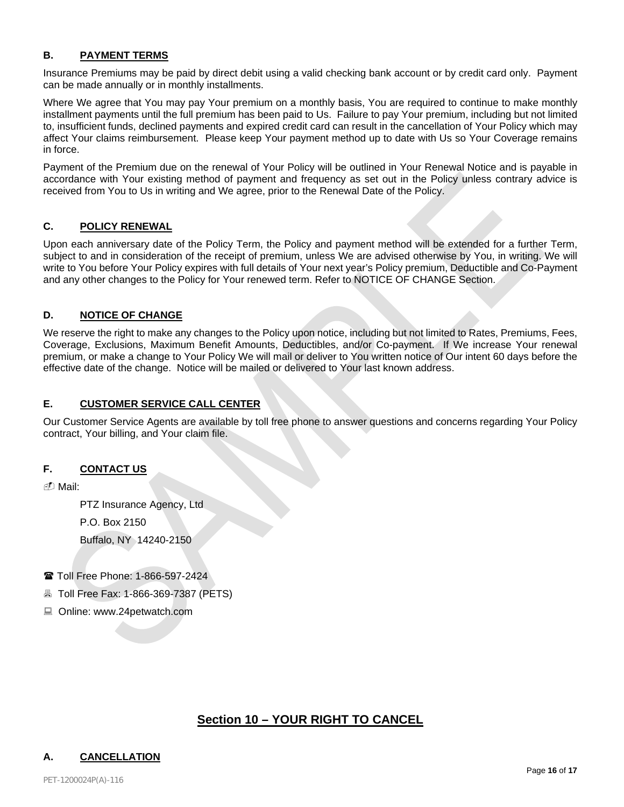## **B. PAYMENT TERMS**

Insurance Premiums may be paid by direct debit using a valid checking bank account or by credit card only. Payment can be made annually or in monthly installments.

Where We agree that You may pay Your premium on a monthly basis. You are required to continue to make monthly installment payments until the full premium has been paid to Us. Failure to pay Your premium, including but not limited to, insufficient funds, declined payments and expired credit card can result in the cancellation of Your Policy which may affect Your claims reimbursement. Please keep Your payment method up to date with Us so Your Coverage remains in force.

Payment of the Premium due on the renewal of Your Policy will be outlined in Your Renewal Notice and is payable in accordance with Your existing method of payment and frequency as set out in the Policy unless contrary advice is received from You to Us in writing and We agree, prior to the Renewal Date of the Policy.

## **C. POLICY RENEWAL**

Upon each anniversary date of the Policy Term, the Policy and payment method will be extended for a further Term, subject to and in consideration of the receipt of premium, unless We are advised otherwise by You, in writing. We will write to You before Your Policy expires with full details of Your next year's Policy premium, Deductible and Co-Payment and any other changes to the Policy for Your renewed term. Refer to NOTICE OF CHANGE Section.

## **D. NOTICE OF CHANGE**

We reserve the right to make any changes to the Policy upon notice, including but not limited to Rates, Premiums, Fees, Coverage, Exclusions, Maximum Benefit Amounts, Deductibles, and/or Co-payment. If We increase Your renewal premium, or make a change to Your Policy We will mail or deliver to You written notice of Our intent 60 days before the effective date of the change. Notice will be mailed or delivered to Your last known address.

## **E. CUSTOMER SERVICE CALL CENTER**

Our Customer Service Agents are available by toll free phone to answer questions and concerns regarding Your Policy contract, Your billing, and Your claim file.

## **F. CONTACT US**

Mail:

PTZ Insurance Agency, Ltd

P.O. Box 2150

Buffalo, NY 14240-2150

- Toll Free Phone: 1-866-597-2424
- **A** Toll Free Fax: 1-866-369-7387 (PETS)
- Online: www.24petwatch.com

# **Section 10 – YOUR RIGHT TO CANCEL**

## **A. CANCELLATION**